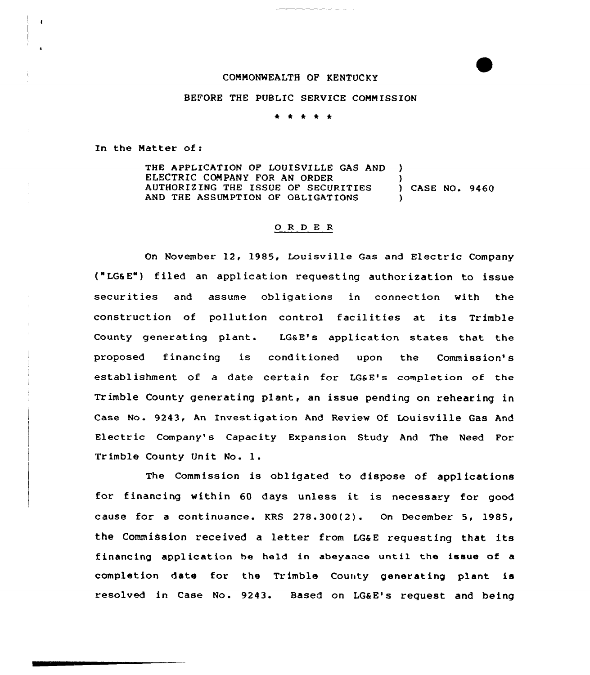## COMMONWEALTH OF KENTUCKY

## BEFORE THE PUBLIC SERVICE CONN ISSION

\* \* \* \* \*

In the Natter of:

THE APPLICATION OF LOUISVILLE GAS AND ) ELECTRIC COMPANY FOR AN ORDER (2008)<br>AUTHORIZING THE ISSUE OF SECURITIES (2008) CASE NO. 9460 AUTHORIZING THE ISSUE OF SECURITIES AND THE ASSUMPTION OF OBLIGATIONS

## 0 R <sup>D</sup> E <sup>R</sup>

On November 12, 1985, Louisville Gas and Electric Company ("LGSE") filed an application requesting authorization to issue securities and assume obligations in connection with the construction of pollution control facilities at its Trimble County generating plant. LG&E's application states that the proposed financing is conditioned upon the Commission's establishment of a date certain for LG&E's completion of the Trimble County generating plant, an issue pending on rehearing in Case No. 9243, An Investigation And Review Of Louisville Gas And Electric Company's Capacity Expansion Study And The Need For Trimble County Unit No. l.

The Commission is obligated to dispose of applications for financing within <sup>60</sup> days unless it is necessary for good cause for a continuance. KRS 278.300(2). On December 5, 1985, the Commission received a letter from LG&E requesting that its financing application be held in abeyance until the issue of a completion date for the Trimble County generating plant is resolved in Case No. 9243. Based on LGaE's request and being